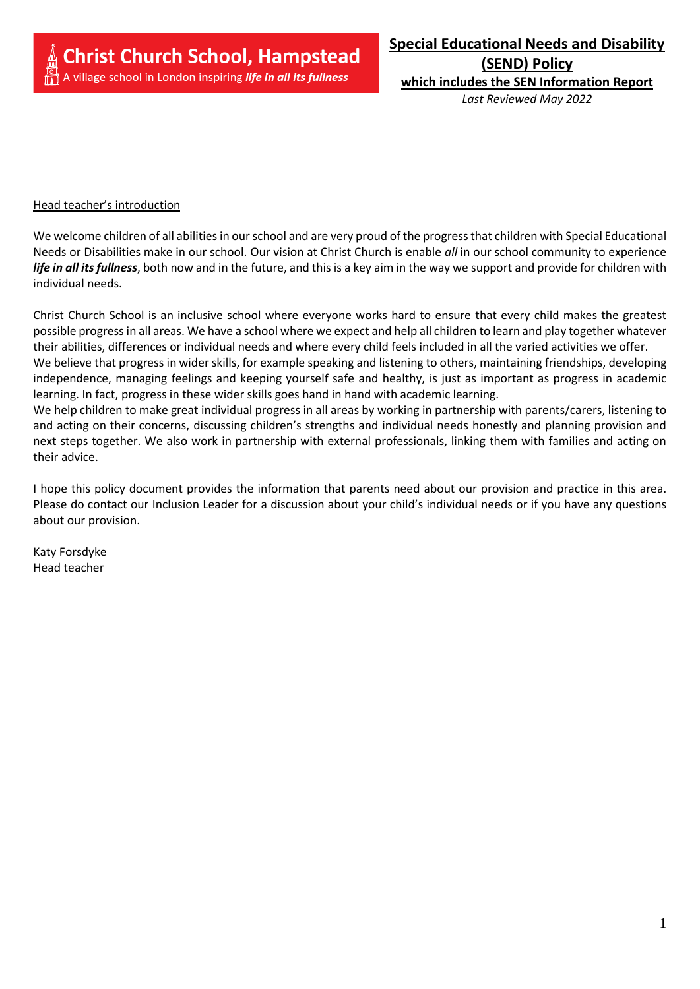**(SEND) Policy which includes the SEN Information Report** *Last Reviewed May 2022*

#### Head teacher's introduction

We welcome children of all abilities in our school and are very proud of the progress that children with Special Educational Needs or Disabilities make in our school. Our vision at Christ Church is enable *all* in our school community to experience *life in all its fullness*, both now and in the future, and this is a key aim in the way we support and provide for children with individual needs.

Christ Church School is an inclusive school where everyone works hard to ensure that every child makes the greatest possible progress in all areas. We have a school where we expect and help all children to learn and play together whatever their abilities, differences or individual needs and where every child feels included in all the varied activities we offer. We believe that progress in wider skills, for example speaking and listening to others, maintaining friendships, developing independence, managing feelings and keeping yourself safe and healthy, is just as important as progress in academic learning. In fact, progress in these wider skills goes hand in hand with academic learning.

We help children to make great individual progress in all areas by working in partnership with parents/carers, listening to and acting on their concerns, discussing children's strengths and individual needs honestly and planning provision and next steps together. We also work in partnership with external professionals, linking them with families and acting on their advice.

I hope this policy document provides the information that parents need about our provision and practice in this area. Please do contact our Inclusion Leader for a discussion about your child's individual needs or if you have any questions about our provision.

Katy Forsdyke Head teacher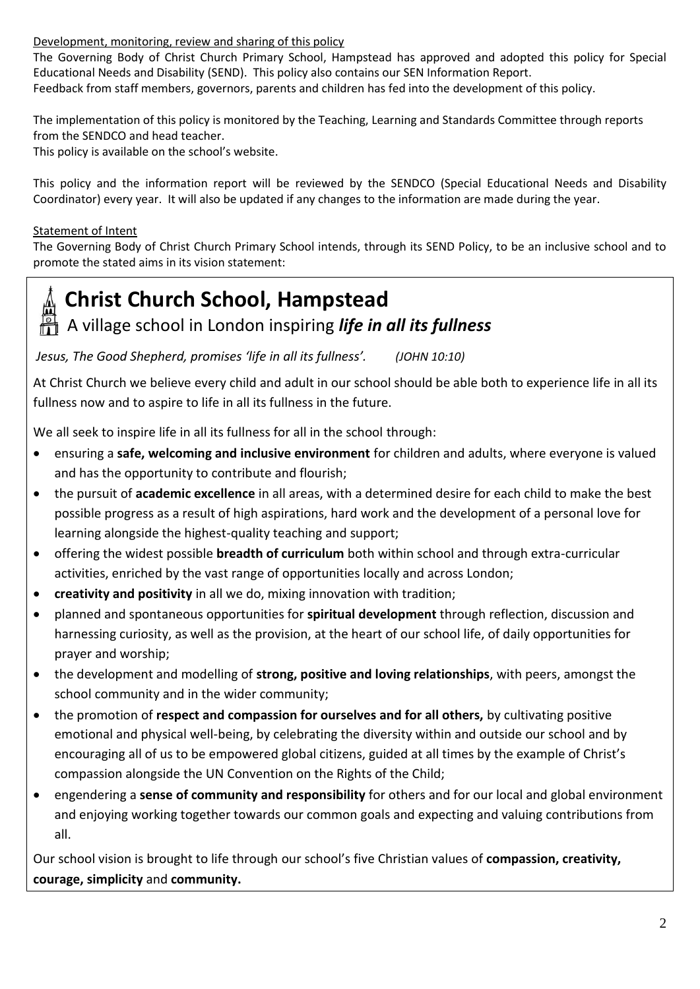# Development, monitoring, review and sharing of this policy

The Governing Body of Christ Church Primary School, Hampstead has approved and adopted this policy for Special Educational Needs and Disability (SEND). This policy also contains our SEN Information Report. Feedback from staff members, governors, parents and children has fed into the development of this policy.

The implementation of this policy is monitored by the Teaching, Learning and Standards Committee through reports from the SENDCO and head teacher.

This policy is available on the school's website.

This policy and the information report will be reviewed by the SENDCO (Special Educational Needs and Disability Coordinator) every year. It will also be updated if any changes to the information are made during the year.

# Statement of Intent

The Governing Body of Christ Church Primary School intends, through its SEND Policy, to be an inclusive school and to promote the stated aims in its vision statement:



# **Christ Church School, Hampstead**

# A village school in London inspiring *life in all its fullness*

*Jesus, The Good Shepherd, promises 'life in all its fullness'. (JOHN 10:10)*

At Christ Church we believe every child and adult in our school should be able both to experience life in all its fullness now and to aspire to life in all its fullness in the future.

We all seek to inspire life in all its fullness for all in the school through:

- ensuring a **safe, welcoming and inclusive environment** for children and adults, where everyone is valued and has the opportunity to contribute and flourish;
- the pursuit of **academic excellence** in all areas, with a determined desire for each child to make the best possible progress as a result of high aspirations, hard work and the development of a personal love for learning alongside the highest-quality teaching and support;
- offering the widest possible **breadth of curriculum** both within school and through extra-curricular activities, enriched by the vast range of opportunities locally and across London;
- **creativity and positivity** in all we do, mixing innovation with tradition;
- planned and spontaneous opportunities for **spiritual development** through reflection, discussion and harnessing curiosity, as well as the provision, at the heart of our school life, of daily opportunities for prayer and worship;
- the development and modelling of **strong, positive and loving relationships**, with peers, amongst the school community and in the wider community;
- the promotion of **respect and compassion for ourselves and for all others,** by cultivating positive emotional and physical well-being, by celebrating the diversity within and outside our school and by encouraging all of us to be empowered global citizens, guided at all times by the example of Christ's compassion alongside the UN Convention on the Rights of the Child;
- engendering a **sense of community and responsibility** for others and for our local and global environment and enjoying working together towards our common goals and expecting and valuing contributions from all.

Our school vision is brought to life through our school's five Christian values of **compassion, creativity, courage, simplicity** and **community.**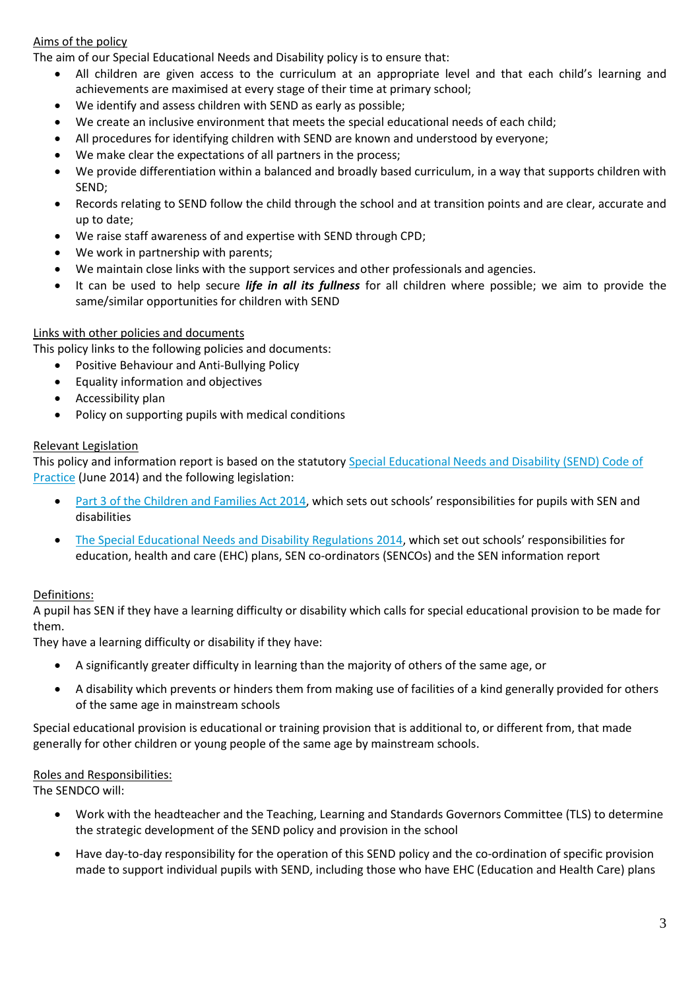## Aims of the policy

The aim of our Special Educational Needs and Disability policy is to ensure that:

- All children are given access to the curriculum at an appropriate level and that each child's learning and achievements are maximised at every stage of their time at primary school;
- We identify and assess children with SEND as early as possible;
- We create an inclusive environment that meets the special educational needs of each child;
- All procedures for identifying children with SEND are known and understood by everyone;
- We make clear the expectations of all partners in the process;
- We provide differentiation within a balanced and broadly based curriculum, in a way that supports children with SEND;
- Records relating to SEND follow the child through the school and at transition points and are clear, accurate and up to date;
- We raise staff awareness of and expertise with SEND through CPD;
- We work in partnership with parents;
- We maintain close links with the support services and other professionals and agencies.
- It can be used to help secure *life in all its fullness* for all children where possible; we aim to provide the same/similar opportunities for children with SEND

#### Links with other policies and documents

This policy links to the following policies and documents:

- Positive Behaviour and Anti-Bullying Policy
- Equality information and objectives
- Accessibility plan
- Policy on supporting pupils with medical conditions

#### Relevant Legislation

This policy and information report is based on the statutory [Special Educational Needs and Disability \(SEND\) Code of](https://www.gov.uk/government/uploads/system/uploads/attachment_data/file/398815/SEND_Code_of_Practice_January_2015.pdf)  [Practice](https://www.gov.uk/government/uploads/system/uploads/attachment_data/file/398815/SEND_Code_of_Practice_January_2015.pdf) (June 2014) and the following legislation:

- [Part 3 of the Children and Families Act 2014](http://www.legislation.gov.uk/ukpga/2014/6/part/3), which sets out schools' responsibilities for pupils with SEN and disabilities
- [The Special Educational Needs and Disability Regulations 2014](http://www.legislation.gov.uk/uksi/2014/1530/contents/made), which set out schools' responsibilities for education, health and care (EHC) plans, SEN co-ordinators (SENCOs) and the SEN information report

#### Definitions:

A pupil has SEN if they have a learning difficulty or disability which calls for special educational provision to be made for them.

They have a learning difficulty or disability if they have:

- A significantly greater difficulty in learning than the majority of others of the same age, or
- A disability which prevents or hinders them from making use of facilities of a kind generally provided for others of the same age in mainstream schools

Special educational provision is educational or training provision that is additional to, or different from, that made generally for other children or young people of the same age by mainstream schools.

#### Roles and Responsibilities:

The SENDCO will:

- Work with the headteacher and the Teaching, Learning and Standards Governors Committee (TLS) to determine the strategic development of the SEND policy and provision in the school
- Have day-to-day responsibility for the operation of this SEND policy and the co-ordination of specific provision made to support individual pupils with SEND, including those who have EHC (Education and Health Care) plans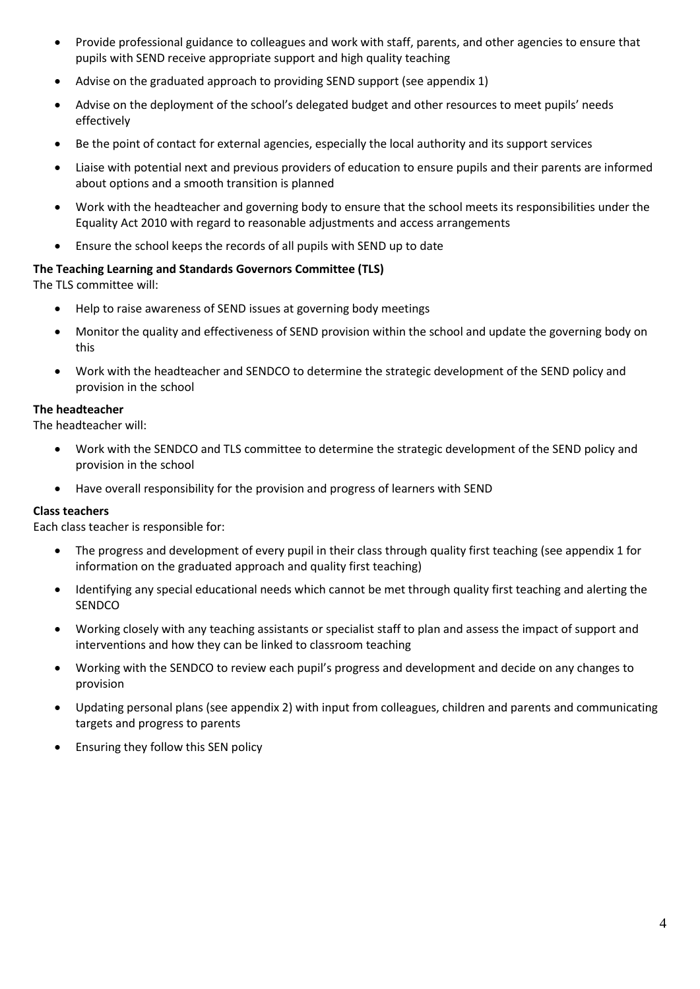- Provide professional guidance to colleagues and work with staff, parents, and other agencies to ensure that pupils with SEND receive appropriate support and high quality teaching
- Advise on the graduated approach to providing SEND support (see appendix 1)
- Advise on the deployment of the school's delegated budget and other resources to meet pupils' needs effectively
- Be the point of contact for external agencies, especially the local authority and its support services
- Liaise with potential next and previous providers of education to ensure pupils and their parents are informed about options and a smooth transition is planned
- Work with the headteacher and governing body to ensure that the school meets its responsibilities under the Equality Act 2010 with regard to reasonable adjustments and access arrangements
- Ensure the school keeps the records of all pupils with SEND up to date

#### **The Teaching Learning and Standards Governors Committee (TLS)**

The TLS committee will:

- Help to raise awareness of SEND issues at governing body meetings
- Monitor the quality and effectiveness of SEND provision within the school and update the governing body on this
- Work with the headteacher and SENDCO to determine the strategic development of the SEND policy and provision in the school

#### **The headteacher**

The headteacher will:

- Work with the SENDCO and TLS committee to determine the strategic development of the SEND policy and provision in the school
- Have overall responsibility for the provision and progress of learners with SEND

#### **Class teachers**

Each class teacher is responsible for:

- The progress and development of every pupil in their class through quality first teaching (see appendix 1 for information on the graduated approach and quality first teaching)
- Identifying any special educational needs which cannot be met through quality first teaching and alerting the **SENDCO**
- Working closely with any teaching assistants or specialist staff to plan and assess the impact of support and interventions and how they can be linked to classroom teaching
- Working with the SENDCO to review each pupil's progress and development and decide on any changes to provision
- Updating personal plans (see appendix 2) with input from colleagues, children and parents and communicating targets and progress to parents
- Ensuring they follow this SEN policy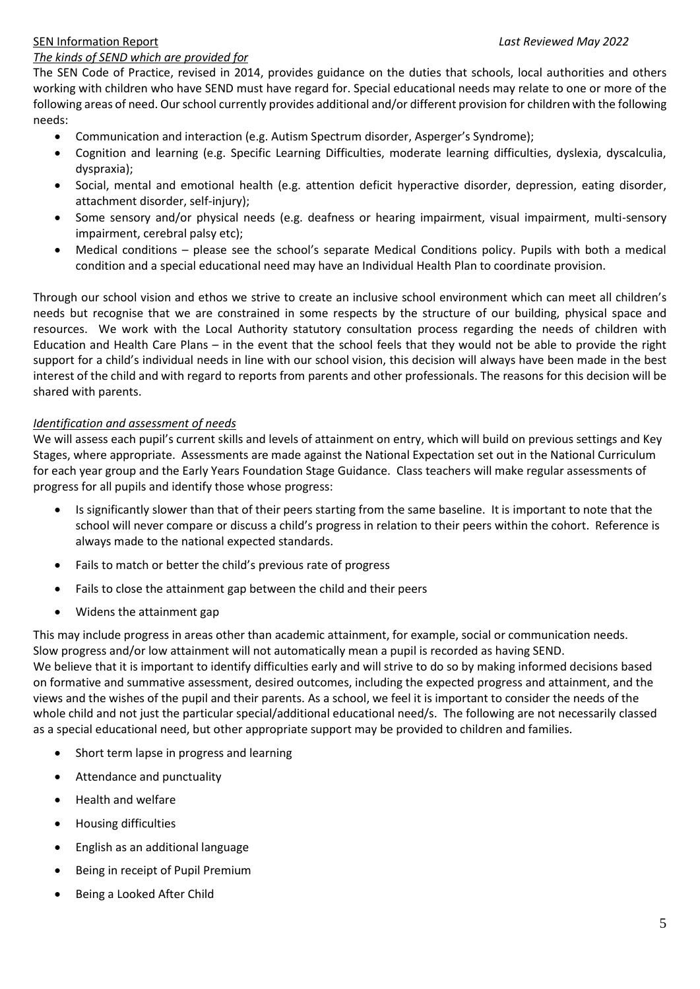# SEN Information Report *Last Reviewed May 2022*

#### *The kinds of SEND which are provided for*

The SEN Code of Practice, revised in 2014, provides guidance on the duties that schools, local authorities and others working with children who have SEND must have regard for. Special educational needs may relate to one or more of the following areas of need. Our school currently provides additional and/or different provision for children with the following needs:

- Communication and interaction (e.g. Autism Spectrum disorder, Asperger's Syndrome);
- Cognition and learning (e.g. Specific Learning Difficulties, moderate learning difficulties, dyslexia, dyscalculia, dyspraxia);
- Social, mental and emotional health (e.g. attention deficit hyperactive disorder, depression, eating disorder, attachment disorder, self-injury);
- Some sensory and/or physical needs (e.g. deafness or hearing impairment, visual impairment, multi-sensory impairment, cerebral palsy etc);
- Medical conditions please see the school's separate Medical Conditions policy. Pupils with both a medical condition and a special educational need may have an Individual Health Plan to coordinate provision.

Through our school vision and ethos we strive to create an inclusive school environment which can meet all children's needs but recognise that we are constrained in some respects by the structure of our building, physical space and resources. We work with the Local Authority statutory consultation process regarding the needs of children with Education and Health Care Plans – in the event that the school feels that they would not be able to provide the right support for a child's individual needs in line with our school vision, this decision will always have been made in the best interest of the child and with regard to reports from parents and other professionals. The reasons for this decision will be shared with parents.

## *Identification and assessment of needs*

We will assess each pupil's current skills and levels of attainment on entry, which will build on previous settings and Key Stages, where appropriate. Assessments are made against the National Expectation set out in the National Curriculum for each year group and the Early Years Foundation Stage Guidance. Class teachers will make regular assessments of progress for all pupils and identify those whose progress:

- Is significantly slower than that of their peers starting from the same baseline. It is important to note that the school will never compare or discuss a child's progress in relation to their peers within the cohort. Reference is always made to the national expected standards.
- Fails to match or better the child's previous rate of progress
- Fails to close the attainment gap between the child and their peers
- Widens the attainment gap

This may include progress in areas other than academic attainment, for example, social or communication needs. Slow progress and/or low attainment will not automatically mean a pupil is recorded as having SEND. We believe that it is important to identify difficulties early and will strive to do so by making informed decisions based on formative and summative assessment, desired outcomes, including the expected progress and attainment, and the views and the wishes of the pupil and their parents. As a school, we feel it is important to consider the needs of the whole child and not just the particular special/additional educational need/s. The following are not necessarily classed as a special educational need, but other appropriate support may be provided to children and families.

- Short term lapse in progress and learning
- Attendance and punctuality
- Health and welfare
- Housing difficulties
- English as an additional language
- Being in receipt of Pupil Premium
- Being a Looked After Child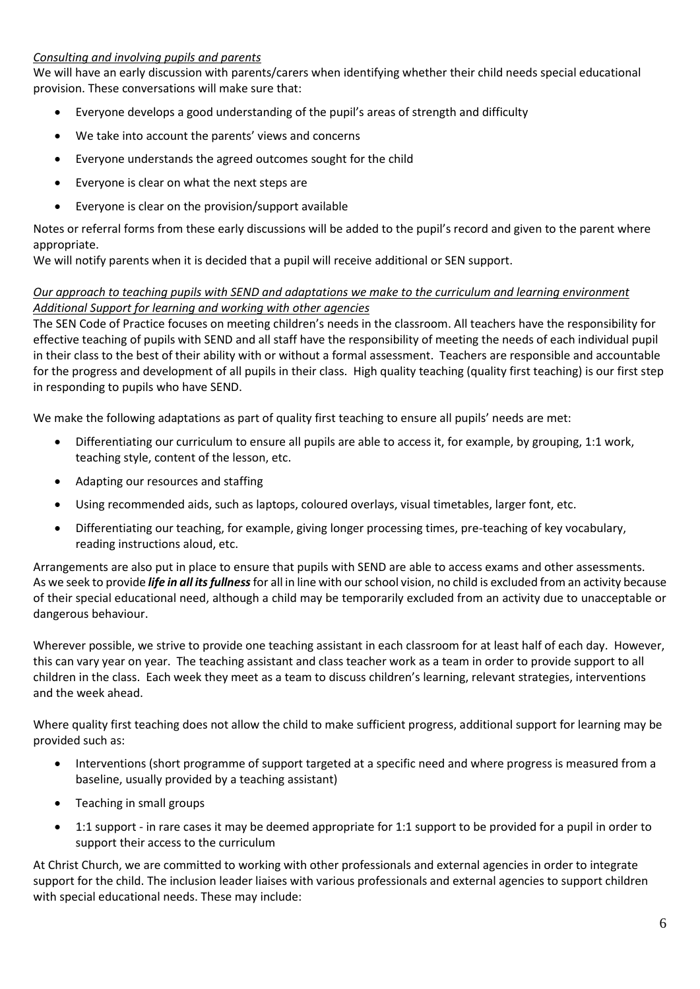#### *Consulting and involving pupils and parents*

We will have an early discussion with parents/carers when identifying whether their child needs special educational provision. These conversations will make sure that:

- Everyone develops a good understanding of the pupil's areas of strength and difficulty
- We take into account the parents' views and concerns
- Everyone understands the agreed outcomes sought for the child
- Everyone is clear on what the next steps are
- Everyone is clear on the provision/support available

Notes or referral forms from these early discussions will be added to the pupil's record and given to the parent where appropriate.

We will notify parents when it is decided that a pupil will receive additional or SEN support.

#### *Our approach to teaching pupils with SEND and adaptations we make to the curriculum and learning environment Additional Support for learning and working with other agencies*

The SEN Code of Practice focuses on meeting children's needs in the classroom. All teachers have the responsibility for effective teaching of pupils with SEND and all staff have the responsibility of meeting the needs of each individual pupil in their class to the best of their ability with or without a formal assessment. Teachers are responsible and accountable for the progress and development of all pupils in their class. High quality teaching (quality first teaching) is our first step in responding to pupils who have SEND.

We make the following adaptations as part of quality first teaching to ensure all pupils' needs are met:

- Differentiating our curriculum to ensure all pupils are able to access it, for example, by grouping, 1:1 work, teaching style, content of the lesson, etc.
- Adapting our resources and staffing
- Using recommended aids, such as laptops, coloured overlays, visual timetables, larger font, etc.
- Differentiating our teaching, for example, giving longer processing times, pre-teaching of key vocabulary, reading instructions aloud, etc.

Arrangements are also put in place to ensure that pupils with SEND are able to access exams and other assessments. As we seek to provide *life in all its fullness*for all in line with our school vision, no child is excluded from an activity because of their special educational need, although a child may be temporarily excluded from an activity due to unacceptable or dangerous behaviour.

Wherever possible, we strive to provide one teaching assistant in each classroom for at least half of each day. However, this can vary year on year. The teaching assistant and class teacher work as a team in order to provide support to all children in the class. Each week they meet as a team to discuss children's learning, relevant strategies, interventions and the week ahead.

Where quality first teaching does not allow the child to make sufficient progress, additional support for learning may be provided such as:

- Interventions (short programme of support targeted at a specific need and where progress is measured from a baseline, usually provided by a teaching assistant)
- Teaching in small groups
- 1:1 support in rare cases it may be deemed appropriate for 1:1 support to be provided for a pupil in order to support their access to the curriculum

At Christ Church, we are committed to working with other professionals and external agencies in order to integrate support for the child. The inclusion leader liaises with various professionals and external agencies to support children with special educational needs. These may include: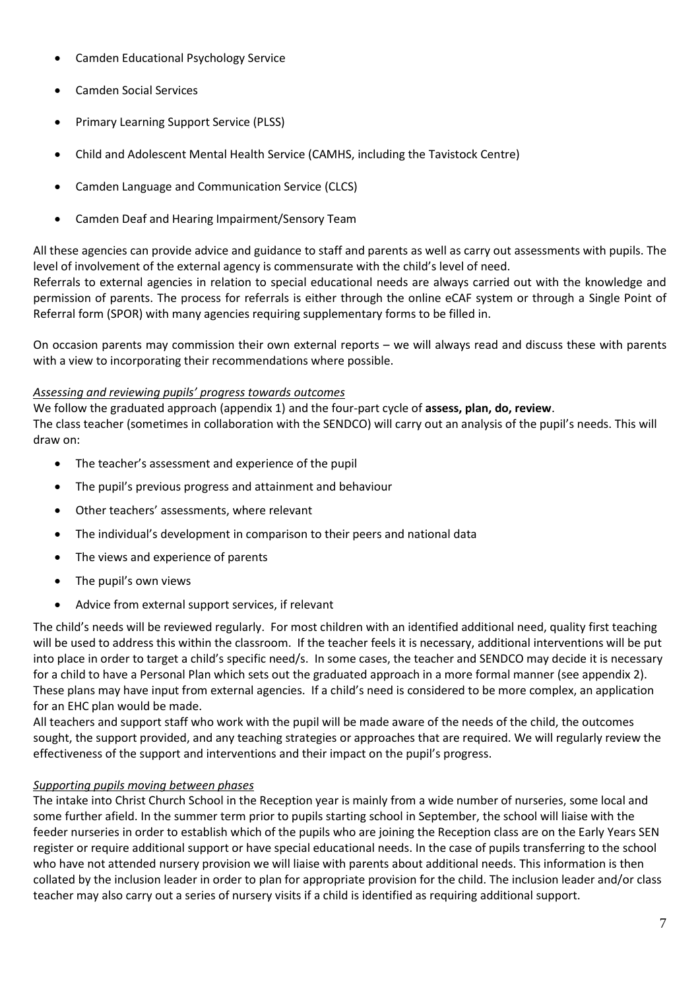- Camden Educational Psychology Service
- Camden Social Services
- Primary Learning Support Service (PLSS)
- Child and Adolescent Mental Health Service (CAMHS, including the Tavistock Centre)
- Camden Language and Communication Service (CLCS)
- Camden Deaf and Hearing Impairment/Sensory Team

All these agencies can provide advice and guidance to staff and parents as well as carry out assessments with pupils. The level of involvement of the external agency is commensurate with the child's level of need.

Referrals to external agencies in relation to special educational needs are always carried out with the knowledge and permission of parents. The process for referrals is either through the online eCAF system or through a Single Point of Referral form (SPOR) with many agencies requiring supplementary forms to be filled in.

On occasion parents may commission their own external reports – we will always read and discuss these with parents with a view to incorporating their recommendations where possible.

#### *Assessing and reviewing pupils' progress towards outcomes*

We follow the graduated approach (appendix 1) and the four-part cycle of **assess, plan, do, review**. The class teacher (sometimes in collaboration with the SENDCO) will carry out an analysis of the pupil's needs. This will draw on:

- The teacher's assessment and experience of the pupil
- The pupil's previous progress and attainment and behaviour
- Other teachers' assessments, where relevant
- The individual's development in comparison to their peers and national data
- The views and experience of parents
- The pupil's own views
- Advice from external support services, if relevant

The child's needs will be reviewed regularly. For most children with an identified additional need, quality first teaching will be used to address this within the classroom. If the teacher feels it is necessary, additional interventions will be put into place in order to target a child's specific need/s. In some cases, the teacher and SENDCO may decide it is necessary for a child to have a Personal Plan which sets out the graduated approach in a more formal manner (see appendix 2). These plans may have input from external agencies. If a child's need is considered to be more complex, an application for an EHC plan would be made.

All teachers and support staff who work with the pupil will be made aware of the needs of the child, the outcomes sought, the support provided, and any teaching strategies or approaches that are required. We will regularly review the effectiveness of the support and interventions and their impact on the pupil's progress.

#### *Supporting pupils moving between phases*

The intake into Christ Church School in the Reception year is mainly from a wide number of nurseries, some local and some further afield. In the summer term prior to pupils starting school in September, the school will liaise with the feeder nurseries in order to establish which of the pupils who are joining the Reception class are on the Early Years SEN register or require additional support or have special educational needs. In the case of pupils transferring to the school who have not attended nursery provision we will liaise with parents about additional needs. This information is then collated by the inclusion leader in order to plan for appropriate provision for the child. The inclusion leader and/or class teacher may also carry out a series of nursery visits if a child is identified as requiring additional support.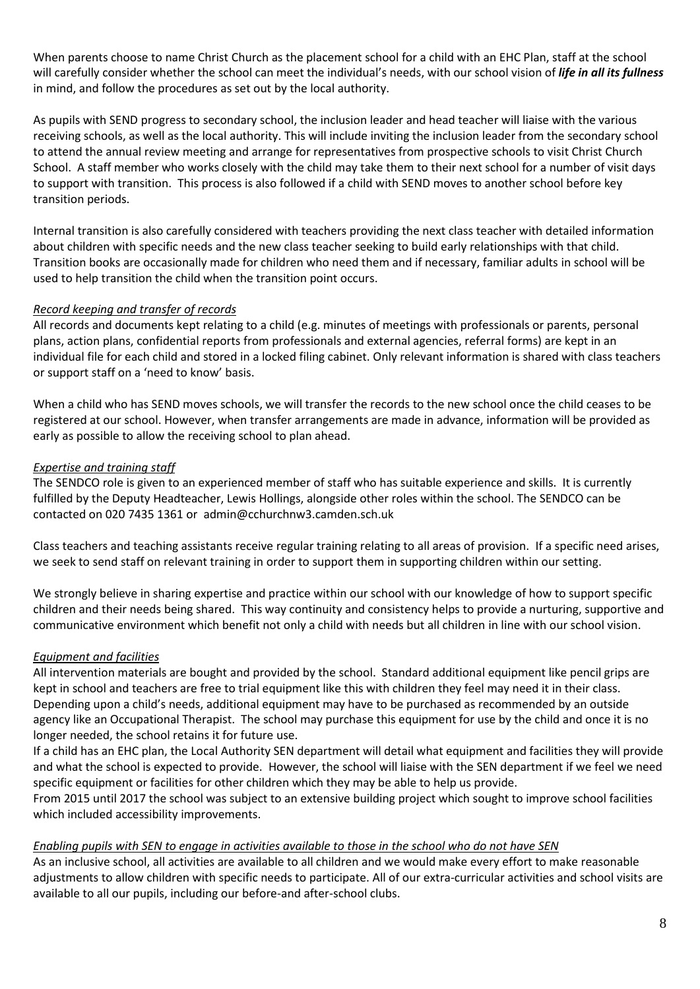When parents choose to name Christ Church as the placement school for a child with an EHC Plan, staff at the school will carefully consider whether the school can meet the individual's needs, with our school vision of *life in all its fullness*  in mind, and follow the procedures as set out by the local authority.

As pupils with SEND progress to secondary school, the inclusion leader and head teacher will liaise with the various receiving schools, as well as the local authority. This will include inviting the inclusion leader from the secondary school to attend the annual review meeting and arrange for representatives from prospective schools to visit Christ Church School. A staff member who works closely with the child may take them to their next school for a number of visit days to support with transition. This process is also followed if a child with SEND moves to another school before key transition periods.

Internal transition is also carefully considered with teachers providing the next class teacher with detailed information about children with specific needs and the new class teacher seeking to build early relationships with that child. Transition books are occasionally made for children who need them and if necessary, familiar adults in school will be used to help transition the child when the transition point occurs.

## *Record keeping and transfer of records*

All records and documents kept relating to a child (e.g. minutes of meetings with professionals or parents, personal plans, action plans, confidential reports from professionals and external agencies, referral forms) are kept in an individual file for each child and stored in a locked filing cabinet. Only relevant information is shared with class teachers or support staff on a 'need to know' basis.

When a child who has SEND moves schools, we will transfer the records to the new school once the child ceases to be registered at our school. However, when transfer arrangements are made in advance, information will be provided as early as possible to allow the receiving school to plan ahead.

## *Expertise and training staff*

The SENDCO role is given to an experienced member of staff who has suitable experience and skills. It is currently fulfilled by the Deputy Headteacher, Lewis Hollings, alongside other roles within the school. The SENDCO can be contacted on 020 7435 1361 or admin@cchurchnw3.camden.sch.uk

Class teachers and teaching assistants receive regular training relating to all areas of provision. If a specific need arises, we seek to send staff on relevant training in order to support them in supporting children within our setting.

We strongly believe in sharing expertise and practice within our school with our knowledge of how to support specific children and their needs being shared. This way continuity and consistency helps to provide a nurturing, supportive and communicative environment which benefit not only a child with needs but all children in line with our school vision.

# *Equipment and facilities*

All intervention materials are bought and provided by the school. Standard additional equipment like pencil grips are kept in school and teachers are free to trial equipment like this with children they feel may need it in their class. Depending upon a child's needs, additional equipment may have to be purchased as recommended by an outside agency like an Occupational Therapist. The school may purchase this equipment for use by the child and once it is no longer needed, the school retains it for future use.

If a child has an EHC plan, the Local Authority SEN department will detail what equipment and facilities they will provide and what the school is expected to provide. However, the school will liaise with the SEN department if we feel we need specific equipment or facilities for other children which they may be able to help us provide.

From 2015 until 2017 the school was subject to an extensive building project which sought to improve school facilities which included accessibility improvements.

#### *Enabling pupils with SEN to engage in activities available to those in the school who do not have SEN*

As an inclusive school, all activities are available to all children and we would make every effort to make reasonable adjustments to allow children with specific needs to participate. All of our extra-curricular activities and school visits are available to all our pupils, including our before-and after-school clubs.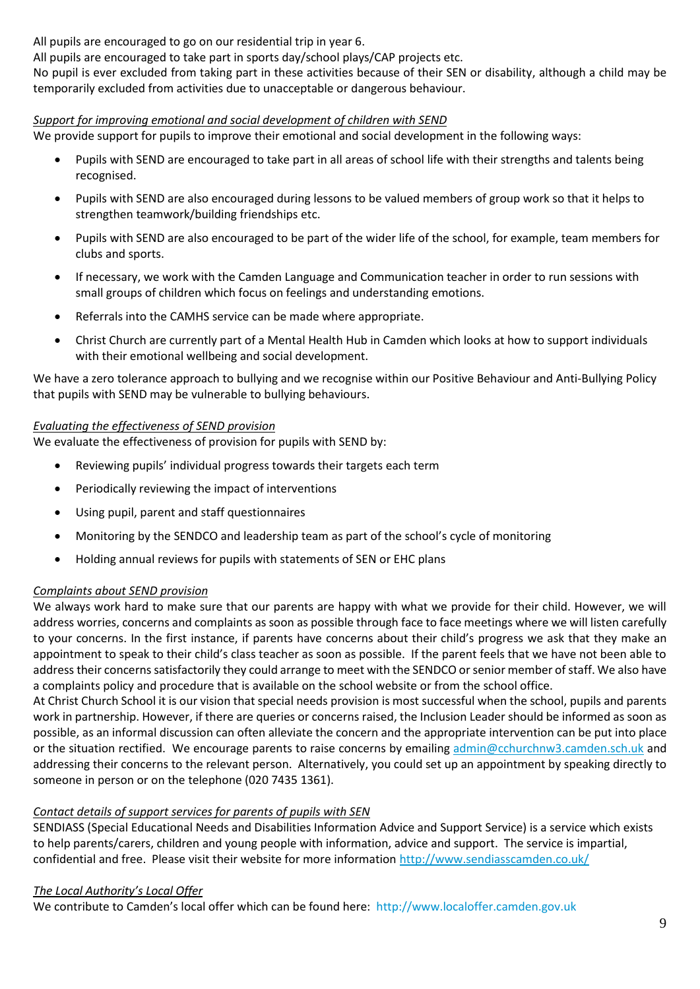All pupils are encouraged to go on our residential trip in year 6.

All pupils are encouraged to take part in sports day/school plays/CAP projects etc.

No pupil is ever excluded from taking part in these activities because of their SEN or disability, although a child may be temporarily excluded from activities due to unacceptable or dangerous behaviour.

## *Support for improving emotional and social development of children with SEND*

We provide support for pupils to improve their emotional and social development in the following ways:

- Pupils with SEND are encouraged to take part in all areas of school life with their strengths and talents being recognised.
- Pupils with SEND are also encouraged during lessons to be valued members of group work so that it helps to strengthen teamwork/building friendships etc.
- Pupils with SEND are also encouraged to be part of the wider life of the school, for example, team members for clubs and sports.
- If necessary, we work with the Camden Language and Communication teacher in order to run sessions with small groups of children which focus on feelings and understanding emotions.
- Referrals into the CAMHS service can be made where appropriate.
- Christ Church are currently part of a Mental Health Hub in Camden which looks at how to support individuals with their emotional wellbeing and social development.

We have a zero tolerance approach to bullying and we recognise within our Positive Behaviour and Anti-Bullying Policy that pupils with SEND may be vulnerable to bullying behaviours.

#### *Evaluating the effectiveness of SEND provision*

We evaluate the effectiveness of provision for pupils with SEND by:

- Reviewing pupils' individual progress towards their targets each term
- Periodically reviewing the impact of interventions
- Using pupil, parent and staff questionnaires
- Monitoring by the SENDCO and leadership team as part of the school's cycle of monitoring
- Holding annual reviews for pupils with statements of SEN or EHC plans

#### *Complaints about SEND provision*

We always work hard to make sure that our parents are happy with what we provide for their child. However, we will address worries, concerns and complaints as soon as possible through face to face meetings where we will listen carefully to your concerns. In the first instance, if parents have concerns about their child's progress we ask that they make an appointment to speak to their child's class teacher as soon as possible. If the parent feels that we have not been able to address their concerns satisfactorily they could arrange to meet with the SENDCO or senior member of staff. We also have a complaints policy and procedure that is available on the school website or from the school office.

At Christ Church School it is our vision that special needs provision is most successful when the school, pupils and parents work in partnership. However, if there are queries or concerns raised, the Inclusion Leader should be informed as soon as possible, as an informal discussion can often alleviate the concern and the appropriate intervention can be put into place or the situation rectified. We encourage parents to raise concerns by emailing [admin@cchurchnw3.camden.sch.uk](mailto:admin@cchurchnw3.camden.sch.uk) and addressing their concerns to the relevant person. Alternatively, you could set up an appointment by speaking directly to someone in person or on the telephone (020 7435 1361).

# *Contact details of support services for parents of pupils with SEN*

SENDIASS (Special Educational Needs and Disabilities Information Advice and Support Service) is a service which exists to help parents/carers, children and young people with information, advice and support. The service is impartial, confidential and free. Please visit their website for more information<http://www.sendiasscamden.co.uk/>

#### *The Local Authority's Local Offer*

We contribute to Camden's local offer which can be found here: [http://www.localoffer.camden.gov.uk](http://www.localoffer.camden.gov.uk/)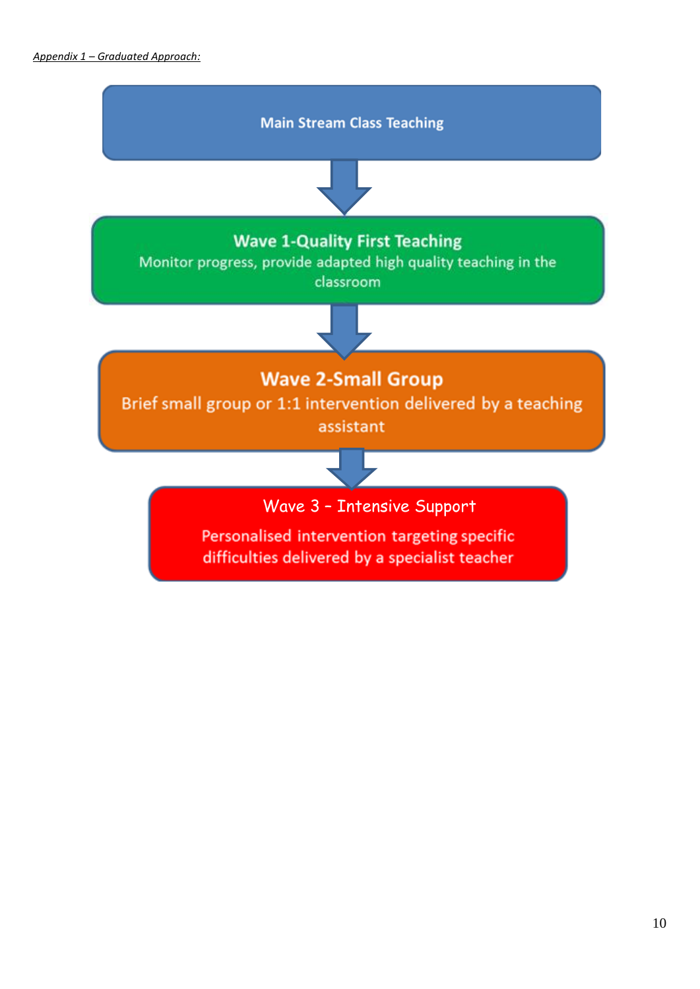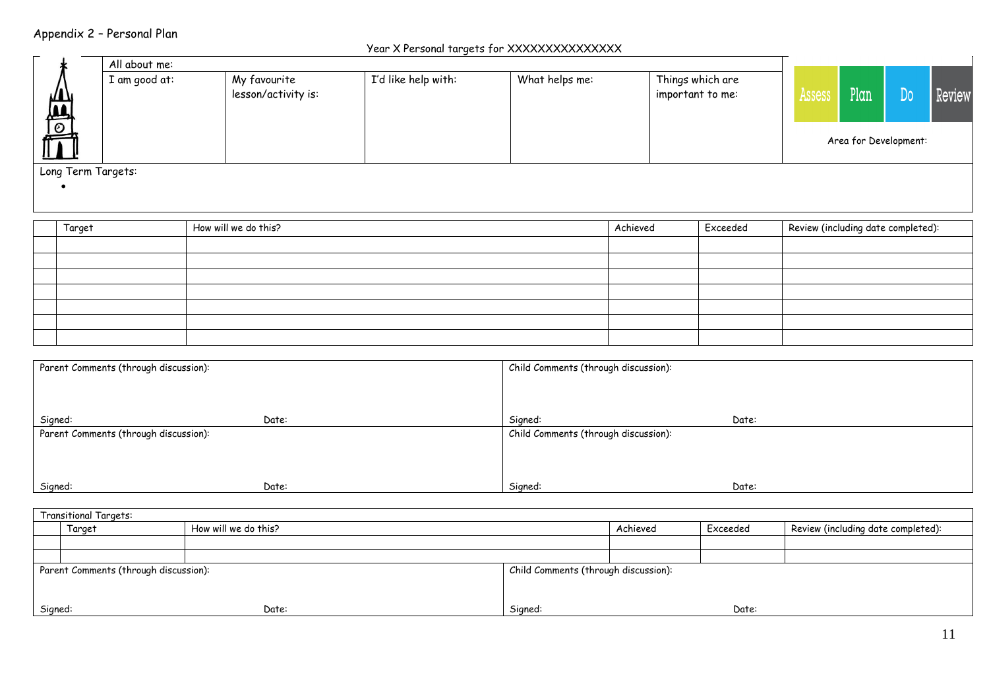# Appendix 2 – Personal Plan

#### Year X Personal targets for XXXXXXXXXXXXXXX

|                    | A      | All about me: |                                                                              |  |                                      |          |          |                                    |                       |  |  |
|--------------------|--------|---------------|------------------------------------------------------------------------------|--|--------------------------------------|----------|----------|------------------------------------|-----------------------|--|--|
|                    |        | I am good at: | I'd like help with:<br>What helps me:<br>My favourite<br>lesson/activity is: |  | Things which are<br>important to me: | Assess   | Plan     | Do                                 | Review                |  |  |
|                    |        |               |                                                                              |  |                                      |          |          |                                    | Area for Development: |  |  |
| Long Term Targets: |        |               |                                                                              |  |                                      |          |          |                                    |                       |  |  |
|                    |        |               |                                                                              |  |                                      |          |          |                                    |                       |  |  |
|                    | Target |               | How will we do this?                                                         |  |                                      | Achieved | Exceeded | Review (including date completed): |                       |  |  |

| . . <b>.</b> | $1.10$ W WILL WC UO 11110; | $\cdots$ | cycecaea | <b>Review</b> (including date completed). |
|--------------|----------------------------|----------|----------|-------------------------------------------|
|              |                            |          |          |                                           |
|              |                            |          |          |                                           |
|              |                            |          |          |                                           |
|              |                            |          |          |                                           |
|              |                            |          |          |                                           |
|              |                            |          |          |                                           |
|              |                            |          |          |                                           |

| Parent Comments (through discussion): |       | Child Comments (through discussion): |       |  |  |
|---------------------------------------|-------|--------------------------------------|-------|--|--|
| Signed:                               | Date: | Signed:                              | Date: |  |  |
| Parent Comments (through discussion): |       | Child Comments (through discussion): |       |  |  |
| Signed:                               | Date: | Signed:                              | Date: |  |  |

| <b>Transitional Targets:</b> |                                       |                      |          |                                      |                                    |  |  |  |
|------------------------------|---------------------------------------|----------------------|----------|--------------------------------------|------------------------------------|--|--|--|
|                              | Target                                | How will we do this? | Achieved | Exceeded                             | Review (including date completed): |  |  |  |
|                              |                                       |                      |          |                                      |                                    |  |  |  |
|                              |                                       |                      |          |                                      |                                    |  |  |  |
|                              | Parent Comments (through discussion): |                      |          | Child Comments (through discussion): |                                    |  |  |  |
|                              |                                       |                      |          |                                      |                                    |  |  |  |
|                              |                                       |                      |          |                                      |                                    |  |  |  |
| Signed:                      |                                       | Date:                | Signed:  | Date:                                |                                    |  |  |  |